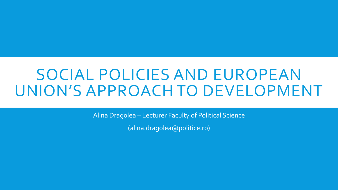Alina Dragolea – Lecturer Faculty of Political Science

(alina.dragolea@politice.ro)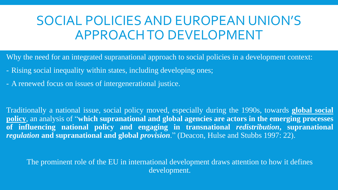Why the need for an integrated supranational approach to social policies in a development context:

- Rising social inequality within states, including developing ones;
- A renewed focus on issues of intergenerational justice.

Traditionally a national issue, social policy moved, especially during the 1990s, towards **global social policy**, an analysis of "**which supranational and global agencies are actors in the emerging processes of influencing national policy and engaging in transnational** *redistribution***, supranational** *regulation* **and supranational and global** *provision*." (Deacon, Hulse and Stubbs 1997: 22).

The prominent role of the EU in international development draws attention to how it defines development.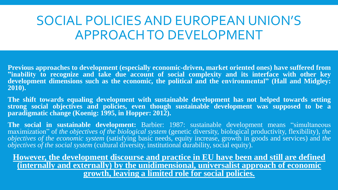**Previous approaches to development (especially economic-driven, market oriented ones) have suffered from "inability to recognize and take due account of social complexity and its interface with other key development dimensions such as the economic, the political and the environmental" (Hall and Midgley: 2010).** 

**The shift towards equaling development with sustainable development has not helped towards setting strong social objectives and policies, even though sustainable development was supposed to be a paradigmatic change (Koenig: 1995, in Hopper: 2012).**

**The social in sustainable development:** Barbier: 1987: sustainable development means "simultaneous maximization" of *the objectives of the biological system* (genetic diversity, biological productivity, flexibility), *the objectives of the economic system* (satisfying basic needs, equity increase, growth in goods and services) and *the objectives of the social system* (cultural diversity, institutional durability, social equity).

**However, the development discourse and practice in EU have been and still are defined (internally and externally) by the unidimensional, universalist approach of economic growth, leaving a limited role for social policies.**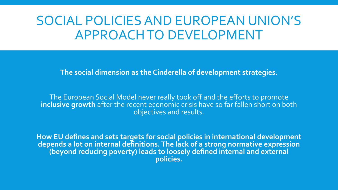**The social dimension as the Cinderella of development strategies.**

The European Social Model never really took off and the efforts to promote **inclusive growth** after the recent economic crisis have so far fallen short on both objectives and results.

**How EU defines and sets targets for social policies in international development depends a lot on internal definitions. The lack of a strong normative expression (beyond reducing poverty) leads to loosely defined internal and external policies.**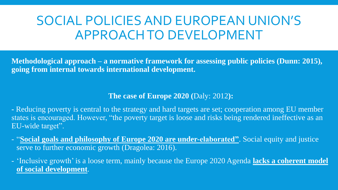**Methodological approach – a normative framework for assessing public policies (Dunn: 2015), going from internal towards international development.**

#### **The case of Europe 2020 (**Daly: 2012**):**

**-** Reducing poverty is central to the strategy and hard targets are set; cooperation among EU member states is encouraged. However, "the poverty target is loose and risks being rendered ineffective as an EU-wide target".

- "**Social goals and philosophy of Europe 2020 are under-elaborated"**. Social equity and justice serve to further economic growth (Dragolea: 2016).

- 'Inclusive growth' is a loose term, mainly because the Europe 2020 Agenda **lacks a coherent model of social development**.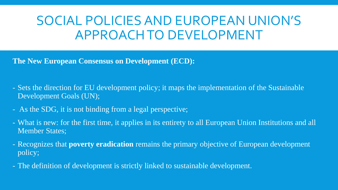**The New European Consensus on Development (ECD):**

- Sets the direction for EU development policy; it maps the implementation of the Sustainable Development Goals (UN);
- As the SDG, it is not binding from a legal perspective;
- What is new: for the first time, it applies in its entirety to all European Union Institutions and all Member States;
- Recognizes that **poverty eradication** remains the primary objective of European development policy;
- The definition of development is strictly linked to sustainable development.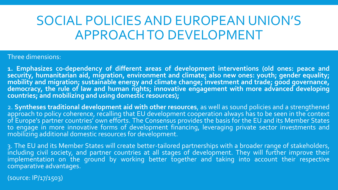#### Three dimensions:

**1. Emphasizes co-dependency of different areas of development interventions (old ones: peace and security, humanitarian aid, migration, environment and climate; also new ones: youth; gender equality; mobility and migration; sustainable energy and climate change; investment and trade; good governance, democracy, the rule of law and human rights; innovative engagement with more advanced developing countries; and mobilizing and using domestic resources);**

2. **Syntheses traditional development aid with other resources**, as well as sound policies and a strengthened approach to policy coherence, recalling that EU development cooperation always has to be seen in the context of Europe's partner countries' own efforts. The Consensus provides the basis for the EU and its Member States to engage in more innovative forms of development financing, leveraging private sector investments and mobilizing additional domestic resources for development.

3. The EU and its Member States will create better-tailored partnerships with a broader range of stakeholders, including civil society, and partner countries at all stages of development. They will further improve their implementation on the ground by working better together and taking into account their respective comparative advantages.

(source: IP/17/1503)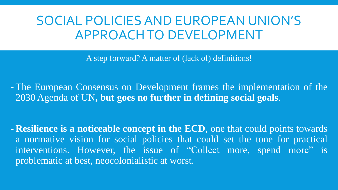A step forward? A matter of (lack of) definitions!

- The European Consensus on Development frames the implementation of the 2030 Agenda of UN**, but goes no further in defining social goals**.

- **Resilience is a noticeable concept in the ECD**, one that could points towards a normative vision for social policies that could set the tone for practical interventions. However, the issue of "Collect more, spend more" is problematic at best, neocolonialistic at worst.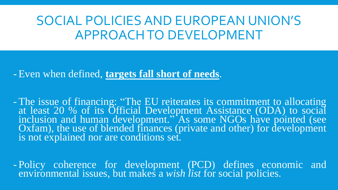-Even when defined, **targets fall short of needs**.

-The issue of financing: "The EU reiterates its commitment to allocating at least 20 % of its Official Development Assistance (ODA) to social inclusion and human development." As some NGOs have pointed (see Oxfam), the use of blended finances (private and other) for development is not explained nor are conditions set.

- Policy coherence for development (PCD) defines economic and environmental issues, but makes a *wish list* for social policies.